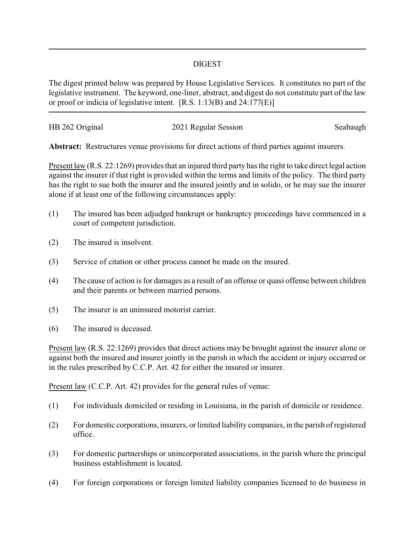## DIGEST

The digest printed below was prepared by House Legislative Services. It constitutes no part of the legislative instrument. The keyword, one-liner, abstract, and digest do not constitute part of the law or proof or indicia of legislative intent. [R.S. 1:13(B) and 24:177(E)]

| HB 262 Original | 2021 Regular Session | Seabaugh |
|-----------------|----------------------|----------|
|                 |                      |          |

**Abstract:** Restructures venue provisions for direct actions of third parties against insurers.

Present law (R.S. 22:1269) provides that an injured third party has the right to take direct legal action against the insurer if that right is provided within the terms and limits of the policy. The third party has the right to sue both the insurer and the insured jointly and in solido, or he may sue the insurer alone if at least one of the following circumstances apply:

- (1) The insured has been adjudged bankrupt or bankruptcy proceedings have commenced in a court of competent jurisdiction.
- (2) The insured is insolvent.
- (3) Service of citation or other process cannot be made on the insured.
- (4) The cause of action is for damages as a result of an offense or quasi offense between children and their parents or between married persons.
- (5) The insurer is an uninsured motorist carrier.
- (6) The insured is deceased.

Present law (R.S. 22:1269) provides that direct actions may be brought against the insurer alone or against both the insured and insurer jointly in the parish in which the accident or injury occurred or in the rules prescribed by C.C.P. Art. 42 for either the insured or insurer.

Present law (C.C.P. Art. 42) provides for the general rules of venue:

- (1) For individuals domiciled or residing in Louisiana, in the parish of domicile or residence.
- (2) For domestic corporations, insurers, or limited liability companies, in the parish of registered office.
- (3) For domestic partnerships or unincorporated associations, in the parish where the principal business establishment is located.
- (4) For foreign corporations or foreign limited liability companies licensed to do business in